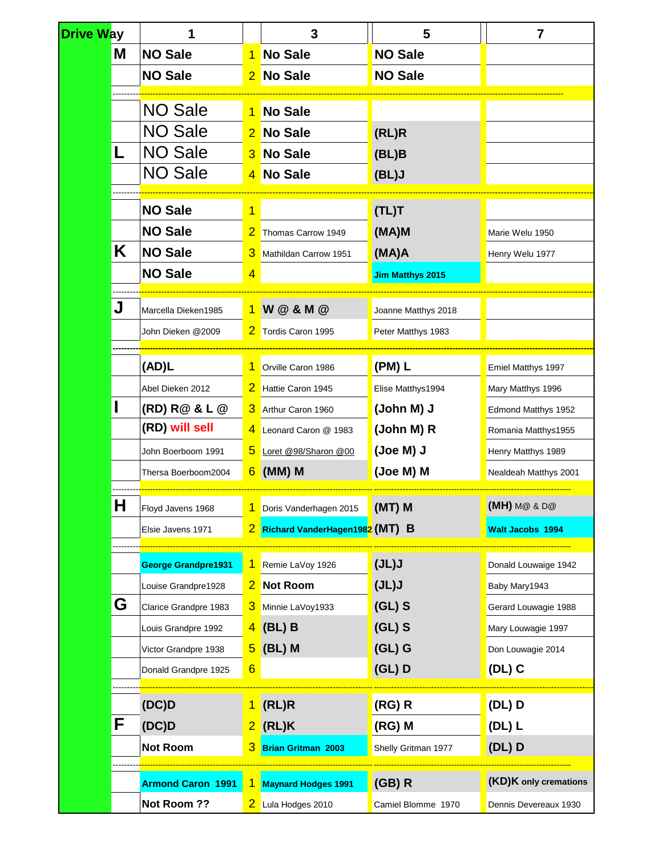| <b>Drive Way</b>    |   | 1                          |                          | 3                              | 5                       | $\overline{7}$        |  |
|---------------------|---|----------------------------|--------------------------|--------------------------------|-------------------------|-----------------------|--|
| M<br><b>NO Sale</b> |   |                            | <b>No Sale</b>           | <b>NO Sale</b>                 |                         |                       |  |
| <b>NO Sale</b>      |   | 2                          | No Sale                  | <b>NO Sale</b>                 |                         |                       |  |
|                     |   |                            |                          |                                |                         |                       |  |
|                     |   | <b>NO Sale</b>             |                          | <b>No Sale</b>                 |                         |                       |  |
|                     |   | <b>NO Sale</b>             |                          | No Sale                        | (RL)R                   |                       |  |
|                     | L | <b>NO Sale</b>             | 3                        | <b>No Sale</b>                 | (BL)B                   |                       |  |
|                     |   | <b>NO Sale</b>             | 4                        | No Sale                        | (BL)J                   |                       |  |
|                     |   |                            |                          |                                |                         |                       |  |
|                     |   | <b>NO Sale</b>             | 1                        |                                | (TL)T                   |                       |  |
|                     |   | <b>NO Sale</b>             |                          | Thomas Carrow 1949             | (MA)M                   | Marie Welu 1950       |  |
|                     | Κ | <b>NO Sale</b>             | 3                        | Mathildan Carrow 1951          | (MA)A                   | Henry Welu 1977       |  |
|                     |   | <b>NO Sale</b>             | 4                        |                                | <b>Jim Matthys 2015</b> |                       |  |
|                     | J | Marcella Dieken1985        |                          | 1 W @ & M @                    | Joanne Matthys 2018     |                       |  |
|                     |   | John Dieken @2009          | 2                        | Tordis Caron 1995              | Peter Matthys 1983      |                       |  |
|                     |   |                            |                          |                                |                         |                       |  |
|                     |   | (AD)L                      |                          | Orville Caron 1986             | $(PM)$ L                | Emiel Matthys 1997    |  |
|                     |   | Abel Dieken 2012           | 2                        | Hattie Caron 1945              | Elise Matthys1994       | Mary Matthys 1996     |  |
|                     |   | (RD) R@ & L @              | З                        | Arthur Caron 1960              | (John M) J              | Edmond Matthys 1952   |  |
|                     |   | (RD) will sell             | 4                        | Leonard Caron @ 1983           | (John M) R              | Romania Matthys1955   |  |
|                     |   | John Boerboom 1991         | 5                        | Loret @98/Sharon @00           | (Joe M) J               | Henry Matthys 1989    |  |
|                     |   | Thersa Boerboom2004        | $6 \,$                   | (MM) M                         | (Joe M) M               | Nealdeah Matthys 2001 |  |
|                     | Η | Floyd Javens 1968          | 1 Doris Vanderhagen 2015 |                                | $(MT)$ M                | $(MH)$ M@ & D@        |  |
|                     |   | Elsie Javens 1971          |                          | Richard VanderHagen1982 (MT) B |                         | Walt Jacobs 1994      |  |
|                     |   |                            |                          |                                |                         |                       |  |
|                     |   | <b>George Grandpre1931</b> |                          | Remie LaVoy 1926               | (JL)J                   | Donald Louwaige 1942  |  |
|                     |   | Louise Grandpre1928        |                          | Not Room                       | J(L)J                   | Baby Mary1943         |  |
|                     | G | Clarice Grandpre 1983      | 3                        | Minnie LaVoy1933               | $(GL)$ S                | Gerard Louwagie 1988  |  |
|                     |   | Louis Grandpre 1992        | $\overline{4}$           | $\overline{B}$ (BL) B          | $(GL)$ S                | Mary Louwagie 1997    |  |
|                     |   | Victor Grandpre 1938       |                          | $5$ (BL) M                     | $(GL)$ G                | Don Louwagie 2014     |  |
|                     |   | Donald Grandpre 1925       | 6                        |                                | $(GL)$ D                | $(DL)$ C              |  |
|                     |   |                            |                          |                                |                         |                       |  |
|                     |   | (DC)D                      |                          | $1$ (RL)R                      | $(RG)$ R                | $(DL)$ D              |  |
|                     | F | (DC)D                      |                          | $2$ (RL)K                      | $(RG)$ M                | $(DL)$ L              |  |
|                     |   | <b>Not Room</b>            |                          | <b>Brian Gritman 2003</b>      | Shelly Gritman 1977     | $(DL)$ D              |  |
|                     |   | <b>Armond Caron 1991</b>   |                          |                                | $(GB)$ R                | (KD)K only cremations |  |
|                     |   |                            | 1                        | <b>Maynard Hodges 1991</b>     |                         |                       |  |
|                     |   | Not Room ??                |                          | 2 Lula Hodges 2010             | Camiel Blomme 1970      | Dennis Devereaux 1930 |  |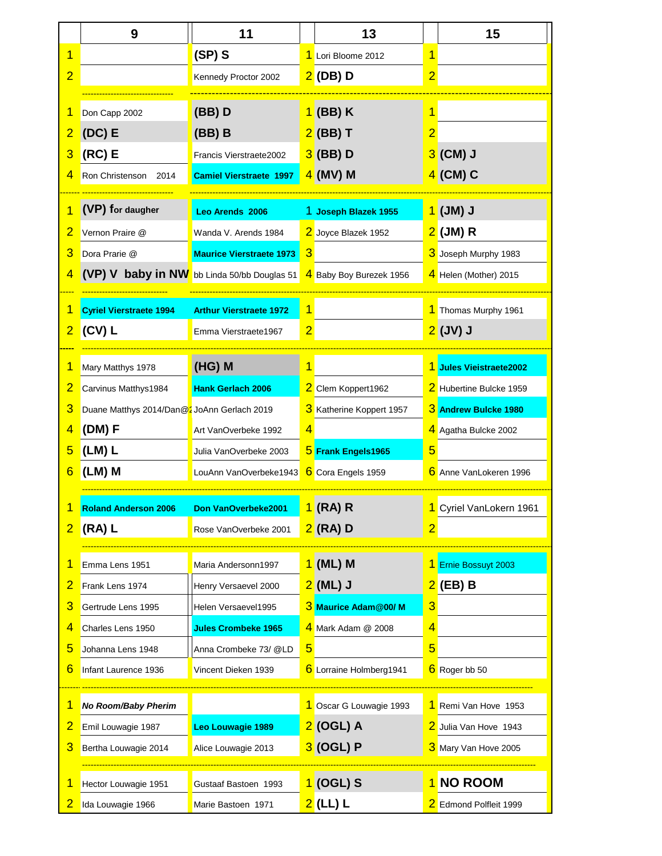|                | 9                                             | 11                                                                  | 13                       | 15                      |
|----------------|-----------------------------------------------|---------------------------------------------------------------------|--------------------------|-------------------------|
|                |                                               | $(SP)$ S                                                            | 1 Lori Bloome 2012       | $\mathbf 1$             |
| $\overline{2}$ |                                               | Kennedy Proctor 2002                                                | $2$ (DB) D               | $\overline{2}$          |
|                |                                               |                                                                     |                          |                         |
|                | Don Capp 2002                                 | (BB)D                                                               | 1 (BB) K                 |                         |
| $\overline{2}$ | $\left($ DC $\right)$ E                       | $(BB)$ B                                                            | $2$ (BB) T               |                         |
|                | $3$ (RC) E                                    | Francis Vierstraete2002                                             | $3$ (BB) D               | $3$ (CM) J              |
|                | 4 Ron Christenson 2014                        | <b>Camiel Vierstraete 1997</b>                                      | $4$ (MV) M               | $4$ (CM) C              |
|                | (VP) for daugher                              | Leo Arends 2006                                                     | 1 Joseph Blazek 1955     | 1 (JM) J                |
|                | 2 Vernon Praire @                             | Wanda V. Arends 1984                                                | 2 Joyce Blazek 1952      | <mark>2</mark> (JM) R   |
|                | 3 Dora Prarie @                               | Maurice Vierstraete 1973 3                                          |                          | 3 Joseph Murphy 1983    |
|                |                                               | (VP) V baby in NW bb Linda 50/bb Douglas 51 4 Baby Boy Burezek 1956 |                          | 4 Helen (Mother) 2015   |
|                |                                               |                                                                     |                          |                         |
|                | Cyriel Vierstraete 1994                       | <b>Arthur Vierstraete 1972</b>                                      |                          | 1 Thomas Murphy 1961    |
|                | $2$ (CV) L                                    | Emma Vierstraete1967                                                |                          | $2$ (JV) J              |
|                | Mary Matthys 1978                             | $(HG)$ M                                                            |                          | 1 Jules Vieistraete2002 |
|                | 2 Carvinus Matthys1984                        | <b>Hank Gerlach 2006</b>                                            | 2 Clem Koppert1962       | 2 Hubertine Bulcke 1959 |
|                | 3 Duane Matthys 2014/Dan@2 JoAnn Gerlach 2019 |                                                                     | 3 Katherine Koppert 1957 | 3 Andrew Bulcke 1980    |
|                | 4 (DM) F                                      | Art VanOverbeke 1992                                                |                          | 4 Agatha Bulcke 2002    |
|                | $5$ (LM) L                                    | Julia VanOverbeke 2003                                              | 5 Frank Engels1965       | 5.                      |
|                | 6 (LM) M                                      | LouAnn VanOverbeke1943                                              | 6 Cora Engels 1959       | 6 Anne VanLokeren 1996  |
|                |                                               |                                                                     |                          |                         |
|                | <b>Roland Anderson 2006</b>                   | Don VanOverbeke2001                                                 | 1 (RA) R                 | 1 Cyriel VanLokern 1961 |
|                | $2$ (RA) L                                    | Rose VanOverbeke 2001                                               | $2$ (RA) D               | $\overline{2}$          |
|                | Emma Lens 1951                                | Maria Andersonn1997                                                 | 1 (ML) M                 | 1 Ernie Bossuyt 2003    |
|                | 2 Frank Lens 1974                             | Henry Versaevel 2000                                                | $2$ (ML) J               | $2$ (EB) B              |
|                | 3 Gertrude Lens 1995                          | Helen Versaevel1995                                                 | 3 Maurice Adam@00/ M     | 3                       |
| 4              | Charles Lens 1950                             | <b>Jules Crombeke 1965</b>                                          | 4 Mark Adam @ 2008       | 4                       |
| 5 <sub>5</sub> | Johanna Lens 1948                             | Anna Crombeke 73/ @LD                                               |                          | 5.                      |
|                | 6 Infant Laurence 1936                        | Vincent Dieken 1939                                                 | 6 Lorraine Holmberg1941  | 6 Roger bb 50           |
|                |                                               |                                                                     |                          |                         |
|                | No Room/Baby Pherim                           |                                                                     | 1 Oscar G Louwagie 1993  | 1 Remi Van Hove 1953    |
| $\overline{2}$ | Emil Louwagie 1987                            | Leo Louwagie 1989                                                   | 2 (OGL) A                | 2 Julia Van Hove 1943   |
|                | 3 Bertha Louwagie 2014                        | Alice Louwagie 2013                                                 | 3 (OGL) P                | 3 Mary Van Hove 2005    |
|                | Hector Louwagie 1951                          | Gustaaf Bastoen 1993                                                | <mark>1</mark> (OGL) S   | 1 NO ROOM               |
|                |                                               |                                                                     |                          |                         |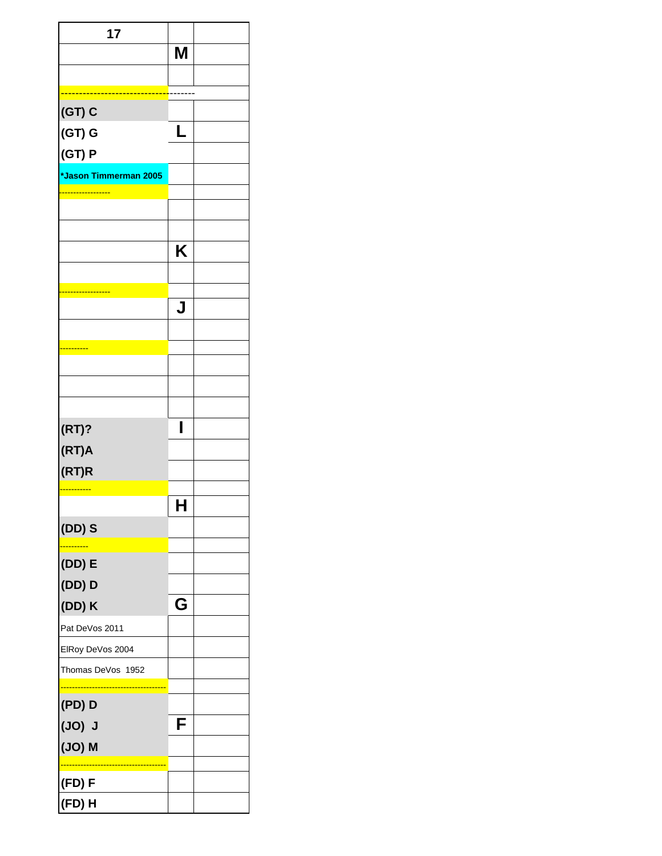| 17                    |   |  |
|-----------------------|---|--|
|                       | Μ |  |
|                       |   |  |
|                       |   |  |
| $(GT)$ C              |   |  |
| $(GT)$ G              |   |  |
| (GT) P                |   |  |
| *Jason Timmerman 2005 |   |  |
|                       |   |  |
|                       |   |  |
|                       |   |  |
|                       | Κ |  |
|                       |   |  |
|                       | J |  |
|                       |   |  |
|                       |   |  |
|                       |   |  |
|                       |   |  |
|                       |   |  |
| (RT)?                 | I |  |
| (RT)A                 |   |  |
| (RT)R                 |   |  |
|                       |   |  |
|                       | н |  |
| $(DD)$ S              |   |  |
|                       |   |  |
| $(DD)$ E              |   |  |
| $(DD)$ $D$            |   |  |
| (DD) K                | G |  |
| Pat DeVos 2011        |   |  |
| ElRoy DeVos 2004      |   |  |
| Thomas DeVos 1952     |   |  |
| $(PD)$ D              |   |  |
| (JO) J                | F |  |
| $(JO)$ M              |   |  |
|                       |   |  |
| (FD) F                |   |  |
| (FD) H                |   |  |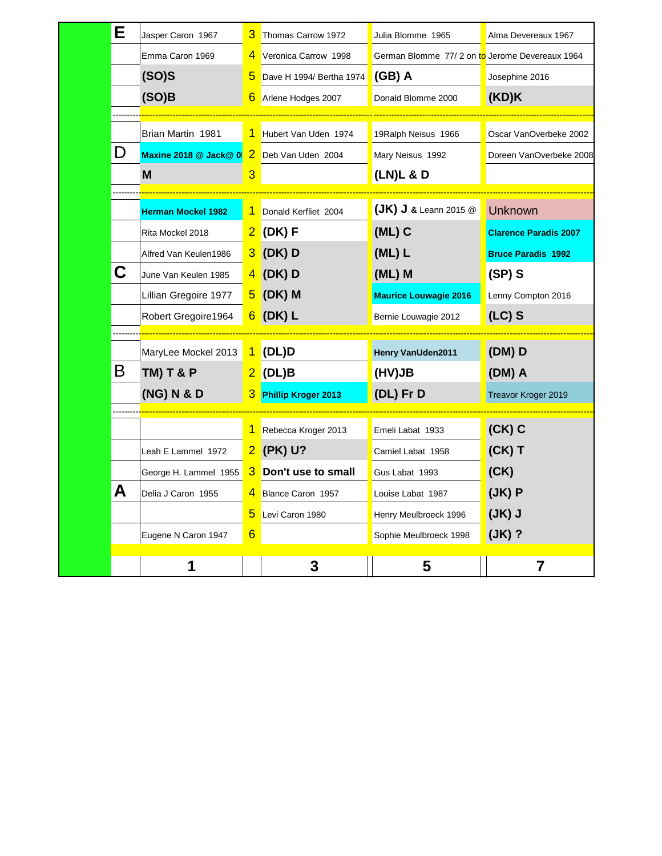| Е | Jasper Caron 1967         |                | 3 Thomas Carrow 1972     | Julia Blomme 1965                              | Alma Devereaux 1967          |
|---|---------------------------|----------------|--------------------------|------------------------------------------------|------------------------------|
|   | Emma Caron 1969           |                | 4 Veronica Carrow 1998   | German Blomme 77/2 on to Jerome Devereaux 1964 |                              |
|   | (SO)S                     | $\overline{5}$ | Dave H 1994/ Bertha 1974 | (GB) A                                         | Josephine 2016               |
|   | (SO)B                     |                | 6 Arlene Hodges 2007     | Donald Blomme 2000                             | (KD)K                        |
|   |                           |                |                          |                                                |                              |
|   | Brian Martin 1981         |                | 1 Hubert Van Uden 1974   | 19Ralph Neisus 1966                            | Oscar VanOverbeke 2002       |
| D | Maxine 2018 @ Jack@ 0     |                | 2 Deb Van Uden 2004      | Mary Neisus 1992                               | Doreen VanOverbeke 2008      |
|   | M                         | 3              |                          | $(LN)L$ & D                                    |                              |
|   |                           |                |                          |                                                |                              |
|   | <b>Herman Mockel 1982</b> |                | 1 Donald Kerfliet 2004   | $(JK)$ J & Leann 2015 $@$                      | Unknown                      |
|   | Rita Mockel 2018          |                | 2 (DK) F                 | $(ML)$ C                                       | <b>Clarence Paradis 2007</b> |
|   | Alfred Van Keulen1986     |                | $3$ (DK) D               | $(ML)$ L                                       | <b>Bruce Paradis 1992</b>    |
| С | June Van Keulen 1985      |                | $4$ (DK) D               | (ML) M                                         | $(SP)$ S                     |
|   | Lillian Gregoire 1977     |                | $5$ (DK) M               | <b>Maurice Louwagie 2016</b>                   | Lenny Compton 2016           |
|   | Robert Gregoire1964       |                | $6$ (DK) L               | Bernie Louwagie 2012                           | $(LC)$ S                     |
|   |                           |                |                          |                                                |                              |
|   | MaryLee Mockel 2013       |                | $1$ (DL)D                | Henry VanUden2011                              | $(DM)$ D                     |
| Β | <b>TM) T &amp; P</b>      |                | $2$ (DL)B                | (HV)JB                                         | (DM) A                       |
|   | (NG) N & D                |                | 3 Phillip Kroger 2013    | (DL) Fr D                                      | Treavor Kroger 2019          |
|   |                           |                | 1 Rebecca Kroger 2013    | Emeli Labat 1933                               | $(CK)$ C                     |
|   | Leah E Lammel 1972        |                | 2 (PK) U?                | Camiel Labat 1958                              | $(CK)$ T                     |
|   | George H. Lammel 1955     |                | 3 Don't use to small     | Gus Labat 1993                                 | (CK)                         |
| Α | Delia J Caron 1955        |                | 4 Blance Caron 1957      | Louise Labat 1987                              | (JK)P                        |
|   |                           | 5              | Levi Caron 1980          | Henry Meulbroeck 1996                          | $J(K)$ J                     |
|   | Eugene N Caron 1947       | 6              |                          | Sophie Meulbroeck 1998                         | $(JK)$ ?                     |
|   |                           |                |                          |                                                |                              |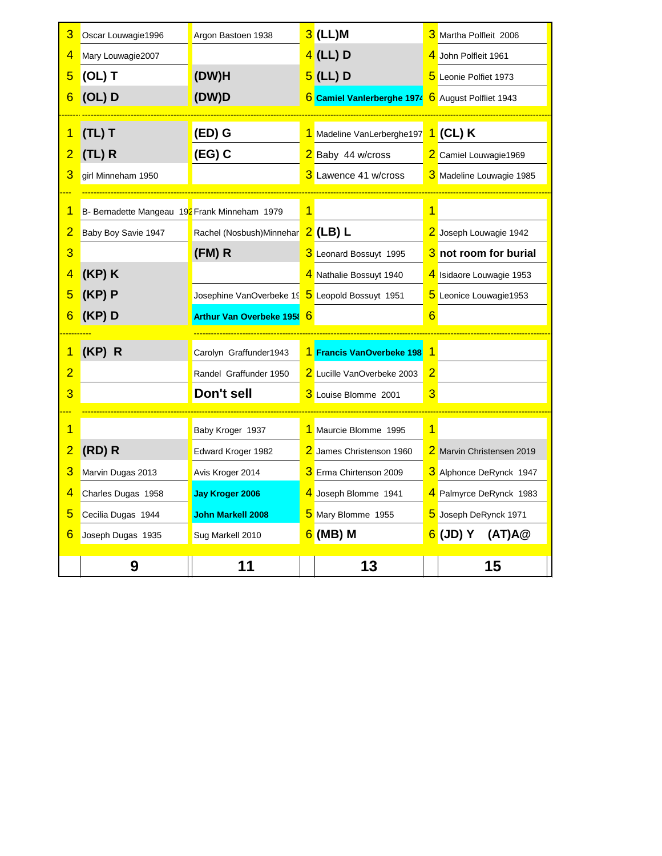|                     | 9                                             | 11                                              | 13                                        |                | 15                        |
|---------------------|-----------------------------------------------|-------------------------------------------------|-------------------------------------------|----------------|---------------------------|
| 6.                  | Joseph Dugas 1935                             | Sug Markell 2010                                | $6$ (MB) M                                |                | 6 (JD) Y (AT)A@           |
|                     |                                               |                                                 |                                           |                |                           |
|                     | Cecilia Dugas 1944                            | John Markell 2008                               | 5 Mary Blomme 1955                        |                | 5 Joseph DeRynck 1971     |
|                     | Charles Dugas 1958                            | Jay Kroger 2006                                 | 4 Joseph Blomme 1941                      |                | 4 Palmyrce DeRynck 1983   |
| 3                   | Marvin Dugas 2013                             | Avis Kroger 2014                                | <b>3</b> Erma Chirtenson 2009             |                | 3 Alphonce DeRynck 1947   |
|                     | 2 (RD) R                                      | Edward Kroger 1982                              | 2 James Christenson 1960                  |                | 2 Marvin Christensen 2019 |
|                     |                                               | Baby Kroger 1937                                | 1 Maurcie Blomme 1995                     |                |                           |
|                     |                                               | Don't sell                                      | 3 Louise Blomme 2001                      | $\overline{3}$ |                           |
|                     |                                               | Randel Graffunder 1950                          | 2 Lucille VanOverbeke 2003                | 2              |                           |
|                     | (KP) R                                        | Carolyn Graffunder1943                          | 1 Francis VanOverbeke 198 1               |                |                           |
|                     |                                               |                                                 |                                           |                |                           |
|                     | $6$ (KP) D                                    | Arthur Van Overbeke 1958 6                      |                                           |                |                           |
|                     | $5$ (KP) P                                    | Josephine VanOverbeke 19 5 Leopold Bossuyt 1951 |                                           |                | 5 Leonice Louwagie1953    |
| 4                   | $(KP)$ K                                      |                                                 | 4 Nathalie Bossuyt 1940                   |                | 4 Isidaore Louwagie 1953  |
|                     |                                               | (FM) R                                          | 3 Leonard Bossuyt 1995                    |                | 3 not room for burial     |
|                     | Baby Boy Savie 1947                           | Rachel (Nosbush)Minnehar 2 (LB) L               |                                           |                | 2 Joseph Louwagie 1942    |
|                     | B- Bernadette Mangeau 192 Frank Minneham 1979 |                                                 |                                           |                |                           |
|                     | girl Minneham 1950                            |                                                 |                                           |                | 3 Madeline Louwagie 1985  |
| $\overline{2}$<br>3 | $\sqrt{(TL)}$ R                               | $\left($ EG) C                                  | 2 Baby 44 w/cross<br>3 Lawence 41 w/cross |                | 2 Camiel Louwagie1969     |
|                     | $(TL)$ T                                      | $E(D)$ G                                        | 1 Madeline VanLerberghe197 1 (CL) K       |                |                           |
|                     |                                               |                                                 |                                           |                |                           |
|                     | $6$ (OL) D                                    | (DW)D                                           | 6 Camiel Vanlerberghe 1974                |                | 6 August Polfliet 1943    |
| 5 <sup>1</sup>      | $\overline{O}(OL)$ T                          | (DW)H                                           | $5$ (LL) D                                |                | 5 Leonie Polfiet 1973     |
|                     | Mary Louwagie2007                             |                                                 | $4$ (LL) D                                |                | 4 John Polfleit 1961      |
|                     | Oscar Louwagie1996                            | Argon Bastoen 1938                              | $3$ (LL)M                                 |                | 3 Martha Polfleit 2006    |